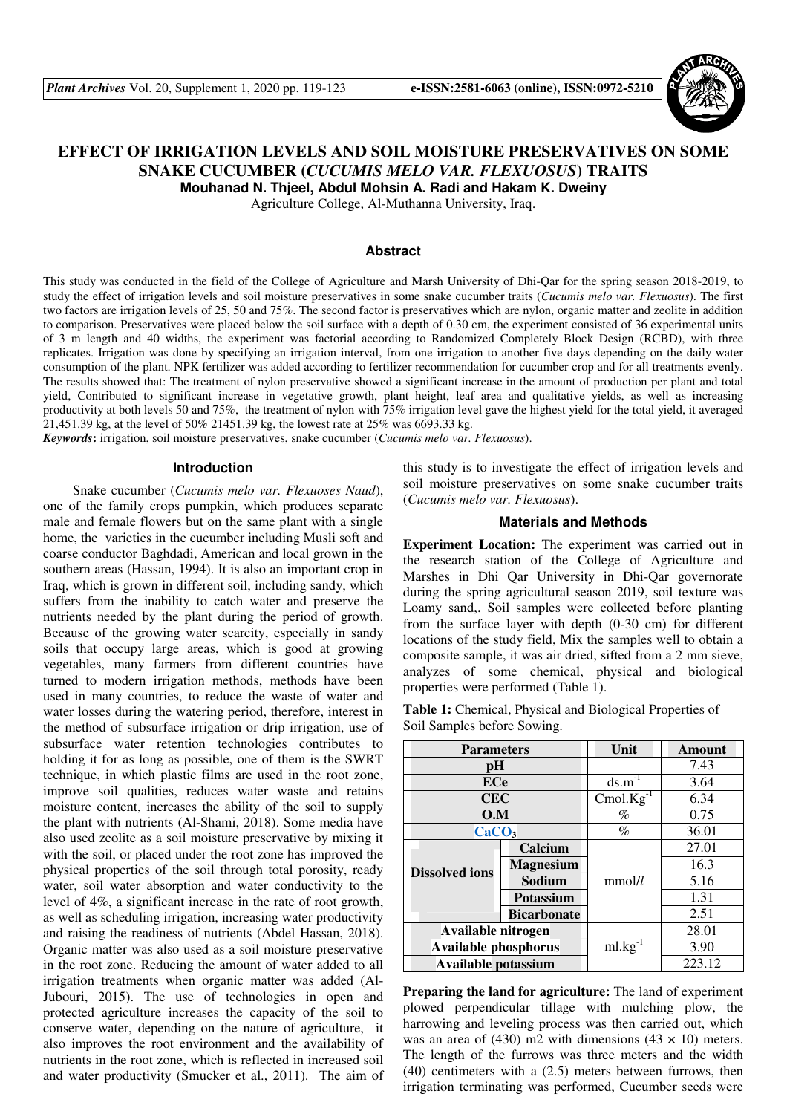

# **EFFECT OF IRRIGATION LEVELS AND SOIL MOISTURE PRESERVATIVES ON SOME SNAKE CUCUMBER (***CUCUMIS MELO VAR. FLEXUOSUS***) TRAITS**

**Mouhanad N. Thjeel, Abdul Mohsin A. Radi and Hakam K. Dweiny** 

Agriculture College, Al-Muthanna University, Iraq.

#### **Abstract**

This study was conducted in the field of the College of Agriculture and Marsh University of Dhi-Qar for the spring season 2018-2019, to study the effect of irrigation levels and soil moisture preservatives in some snake cucumber traits (*Cucumis melo var. Flexuosus*). The first two factors are irrigation levels of 25, 50 and 75%. The second factor is preservatives which are nylon, organic matter and zeolite in addition to comparison. Preservatives were placed below the soil surface with a depth of 0.30 cm, the experiment consisted of 36 experimental units of 3 m length and 40 widths, the experiment was factorial according to Randomized Completely Block Design (RCBD), with three replicates. Irrigation was done by specifying an irrigation interval, from one irrigation to another five days depending on the daily water consumption of the plant. NPK fertilizer was added according to fertilizer recommendation for cucumber crop and for all treatments evenly. The results showed that: The treatment of nylon preservative showed a significant increase in the amount of production per plant and total yield, Contributed to significant increase in vegetative growth, plant height, leaf area and qualitative yields, as well as increasing productivity at both levels 50 and 75%, the treatment of nylon with 75% irrigation level gave the highest yield for the total yield, it averaged 21,451.39 kg, at the level of 50% 21451.39 kg, the lowest rate at 25% was 6693.33 kg.

*Keywords***:** irrigation, soil moisture preservatives, snake cucumber (*Cucumis melo var. Flexuosus*).

#### **Introduction**

Snake cucumber (*Cucumis melo var. Flexuoses Naud*), one of the family crops pumpkin, which produces separate male and female flowers but on the same plant with a single home, the varieties in the cucumber including Musli soft and coarse conductor Baghdadi, American and local grown in the southern areas (Hassan, 1994). It is also an important crop in Iraq, which is grown in different soil, including sandy, which suffers from the inability to catch water and preserve the nutrients needed by the plant during the period of growth. Because of the growing water scarcity, especially in sandy soils that occupy large areas, which is good at growing vegetables, many farmers from different countries have turned to modern irrigation methods, methods have been used in many countries, to reduce the waste of water and water losses during the watering period, therefore, interest in the method of subsurface irrigation or drip irrigation, use of subsurface water retention technologies contributes to holding it for as long as possible, one of them is the SWRT technique, in which plastic films are used in the root zone, improve soil qualities, reduces water waste and retains moisture content, increases the ability of the soil to supply the plant with nutrients (Al-Shami, 2018). Some media have also used zeolite as a soil moisture preservative by mixing it with the soil, or placed under the root zone has improved the physical properties of the soil through total porosity, ready water, soil water absorption and water conductivity to the level of 4%, a significant increase in the rate of root growth, as well as scheduling irrigation, increasing water productivity and raising the readiness of nutrients (Abdel Hassan, 2018). Organic matter was also used as a soil moisture preservative in the root zone. Reducing the amount of water added to all irrigation treatments when organic matter was added (Al-Jubouri, 2015). The use of technologies in open and protected agriculture increases the capacity of the soil to conserve water, depending on the nature of agriculture, it also improves the root environment and the availability of nutrients in the root zone, which is reflected in increased soil and water productivity (Smucker et al., 2011). The aim of this study is to investigate the effect of irrigation levels and soil moisture preservatives on some snake cucumber traits (*Cucumis melo var. Flexuosus*).

#### **Materials and Methods**

**Experiment Location:** The experiment was carried out in the research station of the College of Agriculture and Marshes in Dhi Qar University in Dhi-Qar governorate during the spring agricultural season 2019, soil texture was Loamy sand,. Soil samples were collected before planting from the surface layer with depth (0-30 cm) for different locations of the study field, Mix the samples well to obtain a composite sample, it was air dried, sifted from a 2 mm sieve, analyzes of some chemical, physical and biological properties were performed (Table 1).

**Table 1:** Chemical, Physical and Biological Properties of Soil Samples before Sowing.

| <b>Parameters</b>           |                    | Unit            | Amount |
|-----------------------------|--------------------|-----------------|--------|
| рH                          |                    |                 | 7.43   |
| <b>ECe</b>                  |                    | $ds.m^{-1}$     | 3.64   |
| <b>CEC</b>                  |                    | Cmol. $Kg^{-1}$ | 6.34   |
| O.M                         |                    | $\%$            | 0.75   |
| CaCO <sub>3</sub>           |                    | $\%$            | 36.01  |
|                             | Calcium            |                 | 27.01  |
| <b>Dissolved ions</b>       | <b>Magnesium</b>   |                 | 16.3   |
|                             | Sodium             | mmol/l          | 5.16   |
|                             | Potassium          |                 | 1.31   |
|                             | <b>Bicarbonate</b> |                 | 2.51   |
| Available nitrogen          |                    |                 | 28.01  |
| <b>Available phosphorus</b> |                    | $ml.kg^{-1}$    | 3.90   |
| Available potassium         |                    |                 | 223.12 |

**Preparing the land for agriculture:** The land of experiment plowed perpendicular tillage with mulching plow, the harrowing and leveling process was then carried out, which was an area of (430) m2 with dimensions (43  $\times$  10) meters. The length of the furrows was three meters and the width (40) centimeters with a (2.5) meters between furrows, then irrigation terminating was performed, Cucumber seeds were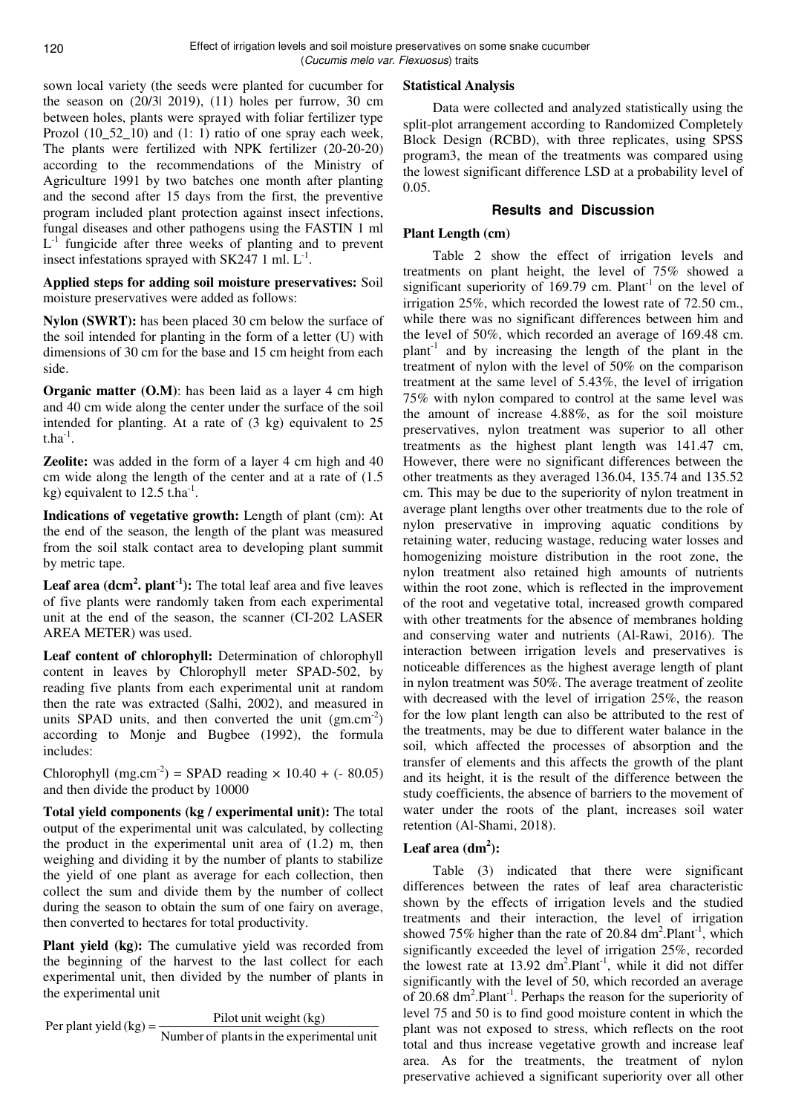sown local variety (the seeds were planted for cucumber for the season on (20/3| 2019), (11) holes per furrow, 30 cm between holes, plants were sprayed with foliar fertilizer type Prozol (10\_52\_10) and (1: 1) ratio of one spray each week, The plants were fertilized with NPK fertilizer (20-20-20) according to the recommendations of the Ministry of Agriculture 1991 by two batches one month after planting and the second after 15 days from the first, the preventive program included plant protection against insect infections, fungal diseases and other pathogens using the FASTIN 1 ml  $L^{-1}$  fungicide after three weeks of planting and to prevent insect infestations sprayed with  $SK247$  1 ml.  $L^{-1}$ .

**Applied steps for adding soil moisture preservatives:** Soil moisture preservatives were added as follows:

**Nylon (SWRT):** has been placed 30 cm below the surface of the soil intended for planting in the form of a letter (U) with dimensions of 30 cm for the base and 15 cm height from each side.

**Organic matter (O.M)**: has been laid as a layer 4 cm high and 40 cm wide along the center under the surface of the soil intended for planting. At a rate of (3 kg) equivalent to 25  $t.ha^{-1}.$ 

**Zeolite:** was added in the form of a layer 4 cm high and 40 cm wide along the length of the center and at a rate of (1.5 kg) equivalent to  $12.5$  t.ha<sup>-1</sup>.

**Indications of vegetative growth:** Length of plant (cm): At the end of the season, the length of the plant was measured from the soil stalk contact area to developing plant summit by metric tape.

**Leaf area (dcm<sup>2</sup> . plant-1):** The total leaf area and five leaves of five plants were randomly taken from each experimental unit at the end of the season, the scanner (CI-202 LASER AREA METER) was used.

**Leaf content of chlorophyll:** Determination of chlorophyll content in leaves by Chlorophyll meter SPAD-502, by reading five plants from each experimental unit at random then the rate was extracted (Salhi, 2002), and measured in units SPAD units, and then converted the unit  $(gm.cm^{-2})$ according to Monje and Bugbee (1992), the formula includes:

Chlorophyll (mg.cm<sup>-2</sup>) = SPAD reading  $\times$  10.40 + (- 80.05) and then divide the product by 10000

**Total yield components (kg / experimental unit):** The total output of the experimental unit was calculated, by collecting the product in the experimental unit area of (1.2) m, then weighing and dividing it by the number of plants to stabilize the yield of one plant as average for each collection, then collect the sum and divide them by the number of collect during the season to obtain the sum of one fairy on average, then converted to hectares for total productivity.

**Plant yield (kg):** The cumulative yield was recorded from the beginning of the harvest to the last collect for each experimental unit, then divided by the number of plants in the experimental unit

Per plant yield  $(kg) = \frac{\text{Pilot unit weight} (kg)}{\text{Number of plants in the experimental unit}}$ 

## **Statistical Analysis**

Data were collected and analyzed statistically using the split-plot arrangement according to Randomized Completely Block Design (RCBD), with three replicates, using SPSS program3, the mean of the treatments was compared using the lowest significant difference LSD at a probability level of 0.05.

## **Results and Discussion**

## **Plant Length (cm)**

Table 2 show the effect of irrigation levels and treatments on plant height, the level of 75% showed a significant superiority of  $169.79$  cm. Plant<sup>-1</sup> on the level of irrigation 25%, which recorded the lowest rate of 72.50 cm., while there was no significant differences between him and the level of 50%, which recorded an average of 169.48 cm.  $plant^{-1}$  and by increasing the length of the plant in the treatment of nylon with the level of 50% on the comparison treatment at the same level of 5.43%, the level of irrigation 75% with nylon compared to control at the same level was the amount of increase 4.88%, as for the soil moisture preservatives, nylon treatment was superior to all other treatments as the highest plant length was 141.47 cm, However, there were no significant differences between the other treatments as they averaged 136.04, 135.74 and 135.52 cm. This may be due to the superiority of nylon treatment in average plant lengths over other treatments due to the role of nylon preservative in improving aquatic conditions by retaining water, reducing wastage, reducing water losses and homogenizing moisture distribution in the root zone, the nylon treatment also retained high amounts of nutrients within the root zone, which is reflected in the improvement of the root and vegetative total, increased growth compared with other treatments for the absence of membranes holding and conserving water and nutrients (Al-Rawi, 2016). The interaction between irrigation levels and preservatives is noticeable differences as the highest average length of plant in nylon treatment was 50%. The average treatment of zeolite with decreased with the level of irrigation 25%, the reason for the low plant length can also be attributed to the rest of the treatments, may be due to different water balance in the soil, which affected the processes of absorption and the transfer of elements and this affects the growth of the plant and its height, it is the result of the difference between the study coefficients, the absence of barriers to the movement of water under the roots of the plant, increases soil water retention (Al-Shami, 2018).

## **Leaf area (dm<sup>2</sup> ):**

Table (3) indicated that there were significant differences between the rates of leaf area characteristic shown by the effects of irrigation levels and the studied treatments and their interaction, the level of irrigation showed 75% higher than the rate of 20.84  $dm<sup>2</sup>$ . Plant<sup>-1</sup>, which significantly exceeded the level of irrigation 25%, recorded the lowest rate at  $13.92 \text{ dm}^2$ . Plant<sup>-1</sup>, while it did not differ significantly with the level of 50, which recorded an average of 20.68 dm<sup>2</sup>.Plant<sup>-1</sup>. Perhaps the reason for the superiority of level 75 and 50 is to find good moisture content in which the plant was not exposed to stress, which reflects on the root total and thus increase vegetative growth and increase leaf area. As for the treatments, the treatment of nylon preservative achieved a significant superiority over all other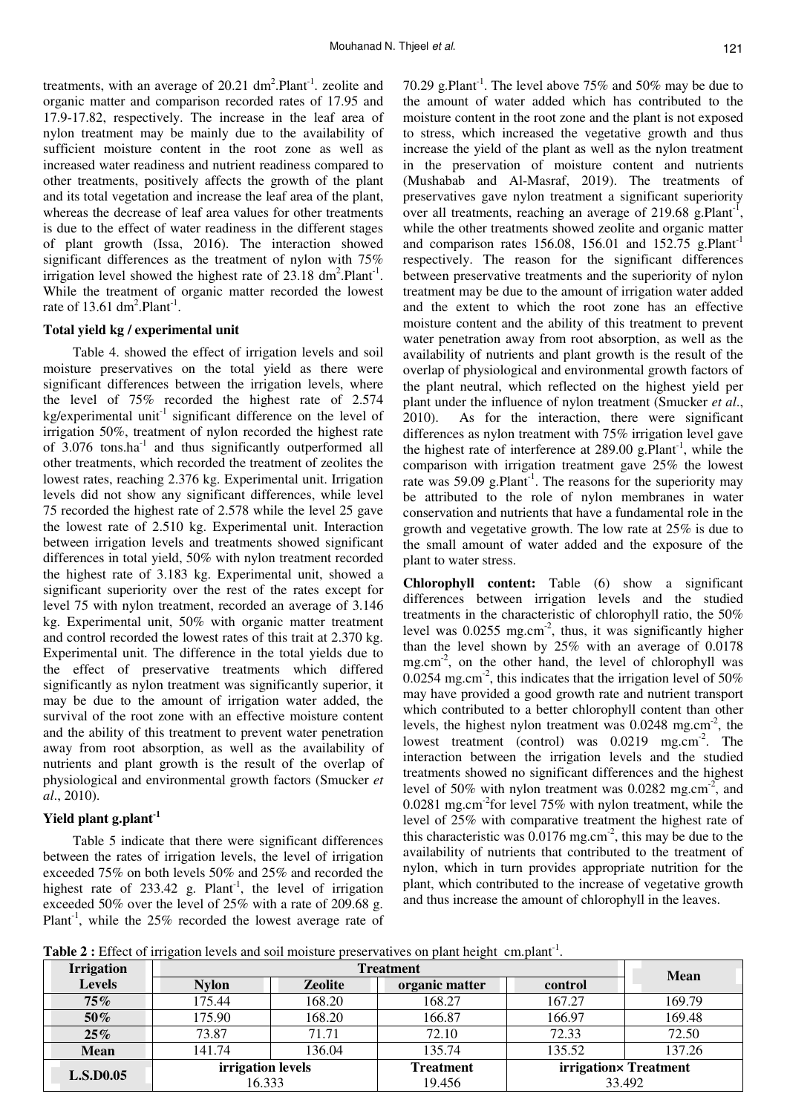treatments, with an average of 20.21  $dm<sup>2</sup>$ . Plant<sup>-1</sup> zeolite and organic matter and comparison recorded rates of 17.95 and 17.9-17.82, respectively. The increase in the leaf area of nylon treatment may be mainly due to the availability of sufficient moisture content in the root zone as well as increased water readiness and nutrient readiness compared to other treatments, positively affects the growth of the plant and its total vegetation and increase the leaf area of the plant, whereas the decrease of leaf area values for other treatments is due to the effect of water readiness in the different stages of plant growth (Issa, 2016). The interaction showed significant differences as the treatment of nylon with 75% irrigation level showed the highest rate of  $23.18 \text{ dm}^2$ . Plant<sup>-1</sup>. While the treatment of organic matter recorded the lowest rate of 13.61  $dm^2$ . Plant<sup>-1</sup>.

#### **Total yield kg / experimental unit**

Table 4. showed the effect of irrigation levels and soil moisture preservatives on the total yield as there were significant differences between the irrigation levels, where the level of 75% recorded the highest rate of 2.574 kg/experimental unit $^{-1}$  significant difference on the level of irrigation 50%, treatment of nylon recorded the highest rate of 3.076 tons.ha<sup>-1</sup> and thus significantly outperformed all other treatments, which recorded the treatment of zeolites the lowest rates, reaching 2.376 kg. Experimental unit. Irrigation levels did not show any significant differences, while level 75 recorded the highest rate of 2.578 while the level 25 gave the lowest rate of 2.510 kg. Experimental unit. Interaction between irrigation levels and treatments showed significant differences in total yield, 50% with nylon treatment recorded the highest rate of 3.183 kg. Experimental unit, showed a significant superiority over the rest of the rates except for level 75 with nylon treatment, recorded an average of 3.146 kg. Experimental unit, 50% with organic matter treatment and control recorded the lowest rates of this trait at 2.370 kg. Experimental unit. The difference in the total yields due to the effect of preservative treatments which differed significantly as nylon treatment was significantly superior, it may be due to the amount of irrigation water added, the survival of the root zone with an effective moisture content and the ability of this treatment to prevent water penetration away from root absorption, as well as the availability of nutrients and plant growth is the result of the overlap of physiological and environmental growth factors (Smucker *et al*., 2010).

#### **Yield plant g.plant-1**

Table 5 indicate that there were significant differences between the rates of irrigation levels, the level of irrigation exceeded 75% on both levels 50% and 25% and recorded the highest rate of  $233.42$  g. Plant<sup>-1</sup>, the level of irrigation exceeded 50% over the level of 25% with a rate of 209.68 g. Plant<sup>-1</sup>, while the  $25\%$  recorded the lowest average rate of

70.29 g.Plant<sup>-1</sup>. The level above 75% and 50% may be due to the amount of water added which has contributed to the moisture content in the root zone and the plant is not exposed to stress, which increased the vegetative growth and thus increase the yield of the plant as well as the nylon treatment in the preservation of moisture content and nutrients (Mushabab and Al-Masraf, 2019). The treatments of preservatives gave nylon treatment a significant superiority over all treatments, reaching an average of 219.68 g.Plant<sup>-1</sup>, while the other treatments showed zeolite and organic matter and comparison rates 156.08, 156.01 and 152.75 g.Plant<sup>-1</sup> respectively. The reason for the significant differences between preservative treatments and the superiority of nylon treatment may be due to the amount of irrigation water added and the extent to which the root zone has an effective moisture content and the ability of this treatment to prevent water penetration away from root absorption, as well as the availability of nutrients and plant growth is the result of the overlap of physiological and environmental growth factors of the plant neutral, which reflected on the highest yield per plant under the influence of nylon treatment (Smucker *et al*., 2010). As for the interaction, there were significant differences as nylon treatment with 75% irrigation level gave the highest rate of interference at  $289.00$  g.Plant<sup>-1</sup>, while the comparison with irrigation treatment gave 25% the lowest rate was  $59.09$  g.Plant<sup>-1</sup>. The reasons for the superiority may be attributed to the role of nylon membranes in water conservation and nutrients that have a fundamental role in the growth and vegetative growth. The low rate at 25% is due to the small amount of water added and the exposure of the plant to water stress.

**Chlorophyll content:** Table (6) show a significant differences between irrigation levels and the studied treatments in the characteristic of chlorophyll ratio, the 50% level was  $0.0255$  mg.cm<sup>-2</sup>, thus, it was significantly higher than the level shown by 25% with an average of 0.0178 mg.cm-2, on the other hand, the level of chlorophyll was 0.0254 mg.cm<sup>-2</sup>, this indicates that the irrigation level of 50% may have provided a good growth rate and nutrient transport which contributed to a better chlorophyll content than other levels, the highest nylon treatment was  $0.0248$  mg.cm<sup>-2</sup>, the lowest treatment (control) was  $0.0219$  mg.cm<sup>-2</sup>. The interaction between the irrigation levels and the studied treatments showed no significant differences and the highest level of 50% with nylon treatment was 0.0282 mg.cm<sup>-2</sup>, and 0.0281 mg.cm<sup>-2</sup>for level 75% with nylon treatment, while the level of 25% with comparative treatment the highest rate of this characteristic was  $0.0176$  mg.cm<sup>-2</sup>, this may be due to the availability of nutrients that contributed to the treatment of nylon, which in turn provides appropriate nutrition for the plant, which contributed to the increase of vegetative growth and thus increase the amount of chlorophyll in the leaves.

**Table 2 :** Effect of irrigation levels and soil moisture preservatives on plant height cm.plant<sup>-1</sup> .

| <b>Irrigation</b> | <b>Treatment</b>            |         |                            |                                 |        |
|-------------------|-----------------------------|---------|----------------------------|---------------------------------|--------|
| <b>Levels</b>     | <b>Nylon</b>                | Zeolite | organic matter             | control                         | Mean   |
| $75\%$            | 175.44                      | 168.20  | 168.27                     | 167.27                          | 169.79 |
| 50%               | 175.90                      | 168.20  | 166.87                     | 166.97                          | 169.48 |
| $25\%$            | 73.87                       | 71.71   | 72.10                      | 72.33                           | 72.50  |
| <b>Mean</b>       | 141.74                      | 136.04  | 135.74                     | 135.52                          | 137.26 |
| <b>L.S.D0.05</b>  | irrigation levels<br>16.333 |         | <b>Treatment</b><br>19.456 | irrigation× Treatment<br>33.492 |        |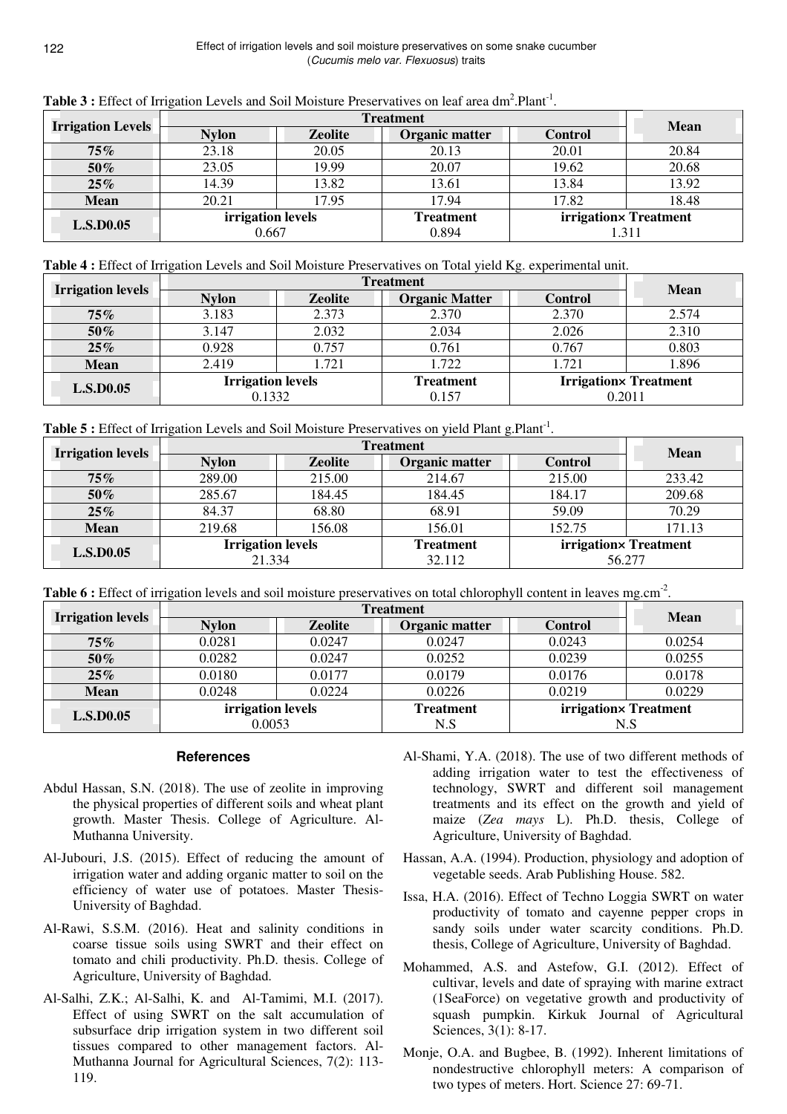| <b>Irrigation Levels</b> | <b>Treatment</b>           |                |                           |                                | <b>Mean</b> |
|--------------------------|----------------------------|----------------|---------------------------|--------------------------------|-------------|
|                          | <b>Nylon</b>               | <b>Zeolite</b> | Organic matter            | <b>Control</b>                 |             |
| 75%                      | 23.18                      | 20.05          | 20.13                     | 20.01                          | 20.84       |
| 50%                      | 23.05                      | 19.99          | 20.07                     | 19.62                          | 20.68       |
| 25%                      | 14.39                      | 13.82          | 13.61                     | 13.84                          | 13.92       |
| <b>Mean</b>              | 20.21                      | 17.95          | 17.94                     | 17.82                          | 18.48       |
| <b>L.S.D0.05</b>         | irrigation levels<br>0.667 |                | <b>Treatment</b><br>0.894 | irrigation× Treatment<br>1.311 |             |

Table 3 : Effect of Irrigation Levels and Soil Moisture Preservatives on leaf area dm<sup>2</sup>.Plant<sup>-1</sup>.

| Table 4 : Effect of Irrigation Levels and Soil Moisture Preservatives on Total yield Kg. experimental unit. |
|-------------------------------------------------------------------------------------------------------------|
|-------------------------------------------------------------------------------------------------------------|

|                          | <b>Treatment</b>                   |                |                           |                                         | <b>Mean</b> |
|--------------------------|------------------------------------|----------------|---------------------------|-----------------------------------------|-------------|
| <b>Irrigation levels</b> | <b>Nylon</b>                       | <b>Zeolite</b> | <b>Organic Matter</b>     | <b>Control</b>                          |             |
| 75%                      | 3.183                              | 2.373          | 2.370                     | 2.370                                   | 2.574       |
| 50%                      | 3.147                              | 2.032          | 2.034                     | 2.026                                   | 2.310       |
| $25\%$                   | 0.928                              | 0.757          | 0.761                     | 0.767                                   | 0.803       |
| <b>Mean</b>              | 2.419                              | 1.721          | 1.722                     | 1.721                                   | 1.896       |
| <b>L.S.D0.05</b>         | <b>Irrigation levels</b><br>0.1332 |                | <b>Treatment</b><br>0.157 | <b>Irrigation</b> x Treatment<br>0.2011 |             |

| Table 5 : Effect of Irrigation Levels and Soil Moisture Preservatives on yield Plant g.Plant <sup>-1</sup> . |  |
|--------------------------------------------------------------------------------------------------------------|--|
|--------------------------------------------------------------------------------------------------------------|--|

|                          | <b>Treatment</b>                   |                |                            |                | <b>Mean</b>           |
|--------------------------|------------------------------------|----------------|----------------------------|----------------|-----------------------|
| <b>Irrigation levels</b> | <b>Nylon</b>                       | <b>Zeolite</b> | Organic matter             | <b>Control</b> |                       |
| 75%                      | 289.00                             | 215.00         | 214.67                     | 215.00         | 233.42                |
| 50%                      | 285.67                             | 184.45         | 184.45                     | 184.17         | 209.68                |
| 25%                      | 84.37                              | 68.80          | 68.91                      | 59.09          | 70.29                 |
| <b>Mean</b>              | 219.68                             | 156.08         | 156.01                     | 152.75         | 171.13                |
| <b>L.S.D0.05</b>         | <b>Irrigation levels</b><br>21.334 |                | <b>Treatment</b><br>32.112 | 56.277         | irrigation× Treatment |

Table 6 : Effect of irrigation levels and soil moisture preservatives on total chlorophyll content in leaves mg.cm<sup>-2</sup>.

|                          | <b>Treatment</b>            |                |                         |                              | <b>Mean</b> |
|--------------------------|-----------------------------|----------------|-------------------------|------------------------------|-------------|
| <b>Irrigation levels</b> | <b>Nylon</b>                | <b>Zeolite</b> | Organic matter          | <b>Control</b>               |             |
| $75\%$                   | 0.0281                      | 0.0247         | 0.0247                  | 0.0243                       | 0.0254      |
| 50%                      | 0.0282                      | 0.0247         | 0.0252                  | 0.0239                       | 0.0255      |
| $25\%$                   | 0.0180                      | 0.0177         | 0.0179                  | 0.0176                       | 0.0178      |
| <b>Mean</b>              | 0.0248                      | 0.0224         | 0.0226                  | 0.0219                       | 0.0229      |
| <b>L.S.D0.05</b>         | irrigation levels<br>0.0053 |                | <b>Treatment</b><br>N.S | irrigation× Treatment<br>N.S |             |

## **References**

- Abdul Hassan, S.N. (2018). The use of zeolite in improving the physical properties of different soils and wheat plant growth. Master Thesis. College of Agriculture. Al-Muthanna University.
- Al-Jubouri, J.S. (2015). Effect of reducing the amount of irrigation water and adding organic matter to soil on the efficiency of water use of potatoes. Master Thesis-University of Baghdad.
- Al-Rawi, S.S.M. (2016). Heat and salinity conditions in coarse tissue soils using SWRT and their effect on tomato and chili productivity. Ph.D. thesis. College of Agriculture, University of Baghdad.
- Al-Salhi, Z.K.; Al-Salhi, K. and Al-Tamimi, M.I. (2017). Effect of using SWRT on the salt accumulation of subsurface drip irrigation system in two different soil tissues compared to other management factors. Al-Muthanna Journal for Agricultural Sciences, 7(2): 113- 119.
- Al-Shami, Y.A. (2018). The use of two different methods of adding irrigation water to test the effectiveness of technology, SWRT and different soil management treatments and its effect on the growth and yield of maize (*Zea mays* L). Ph.D. thesis, College of Agriculture, University of Baghdad.
- Hassan, A.A. (1994). Production, physiology and adoption of vegetable seeds. Arab Publishing House. 582.
- Issa, H.A. (2016). Effect of Techno Loggia SWRT on water productivity of tomato and cayenne pepper crops in sandy soils under water scarcity conditions. Ph.D. thesis, College of Agriculture, University of Baghdad.
- Mohammed, A.S. and Astefow, G.I. (2012). Effect of cultivar, levels and date of spraying with marine extract (1SeaForce) on vegetative growth and productivity of squash pumpkin. Kirkuk Journal of Agricultural Sciences, 3(1): 8-17.
- Monje, O.A. and Bugbee, B. (1992). Inherent limitations of nondestructive chlorophyll meters: A comparison of two types of meters. Hort. Science 27: 69-71.